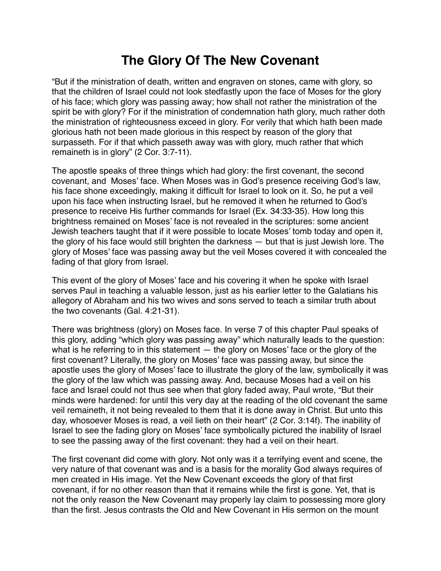## **The Glory Of The New Covenant**

"But if the ministration of death, written and engraven on stones, came with glory, so that the children of Israel could not look stedfastly upon the face of Moses for the glory of his face; which glory was passing away; how shall not rather the ministration of the spirit be with glory? For if the ministration of condemnation hath glory, much rather doth the ministration of righteousness exceed in glory. For verily that which hath been made glorious hath not been made glorious in this respect by reason of the glory that surpasseth. For if that which passeth away was with glory, much rather that which remaineth is in glory" (2 Cor. 3:7-11).

The apostle speaks of three things which had glory: the first covenant, the second covenant, and Moses' face. When Moses was in God's presence receiving God's law, his face shone exceedingly, making it difficult for Israel to look on it. So, he put a veil upon his face when instructing Israel, but he removed it when he returned to God's presence to receive His further commands for Israel (Ex. 34:33-35). How long this brightness remained on Moses' face is not revealed in the scriptures: some ancient Jewish teachers taught that if it were possible to locate Moses' tomb today and open it, the glory of his face would still brighten the darkness — but that is just Jewish lore. The glory of Moses' face was passing away but the veil Moses covered it with concealed the fading of that glory from Israel.

This event of the glory of Moses' face and his covering it when he spoke with Israel serves Paul in teaching a valuable lesson, just as his earlier letter to the Galatians his allegory of Abraham and his two wives and sons served to teach a similar truth about the two covenants (Gal. 4:21-31).

There was brightness (glory) on Moses face. In verse 7 of this chapter Paul speaks of this glory, adding "which glory was passing away" which naturally leads to the question: what is he referring to in this statement — the glory on Moses' face or the glory of the first covenant? Literally, the glory on Moses' face was passing away, but since the apostle uses the glory of Moses' face to illustrate the glory of the law, symbolically it was the glory of the law which was passing away. And, because Moses had a veil on his face and Israel could not thus see when that glory faded away, Paul wrote, "But their minds were hardened: for until this very day at the reading of the old covenant the same veil remaineth, it not being revealed to them that it is done away in Christ. But unto this day, whosoever Moses is read, a veil lieth on their heart" (2 Cor. 3:14f). The inability of Israel to see the fading glory on Moses' face symbolically pictured the inability of Israel to see the passing away of the first covenant: they had a veil on their heart.

The first covenant did come with glory. Not only was it a terrifying event and scene, the very nature of that covenant was and is a basis for the morality God always requires of men created in His image. Yet the New Covenant exceeds the glory of that first covenant, if for no other reason than that it remains while the first is gone. Yet, that is not the only reason the New Covenant may properly lay claim to possessing more glory than the first. Jesus contrasts the Old and New Covenant in His sermon on the mount